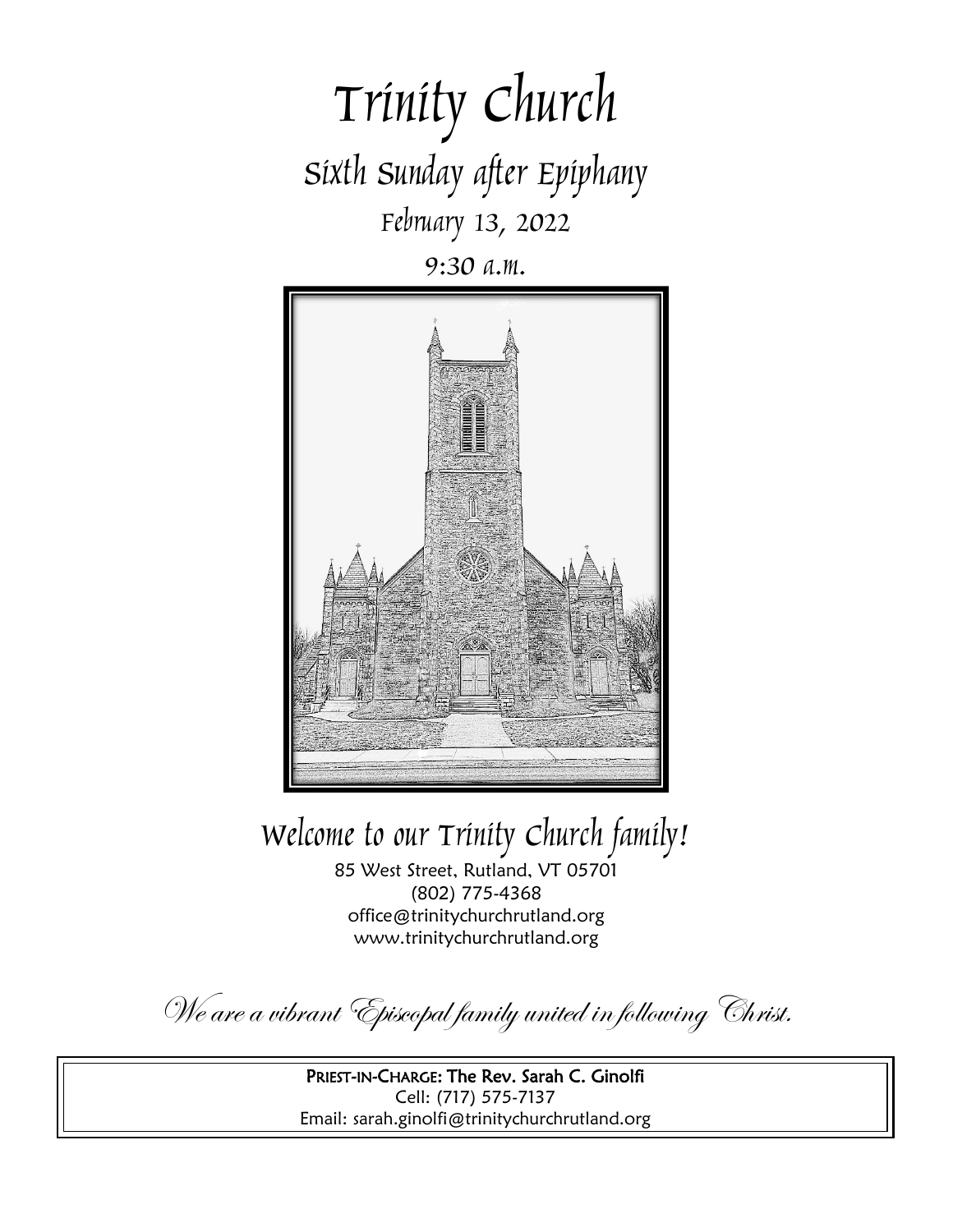

9:30 a.m.



Welcome to our Trinity Church family!

85 West Street, Rutland, VT 05701 (802) 775-4368 office@trinitychurchrutland.org www.trinitychurchrutland.org

We are a vibrant Episcopal family united in following Christ.

PRIEST-IN-CHARGE: The Rev. Sarah C. Ginolfi Cell: (717) 575-7137 Email: sarah.ginolfi@trinitychurchrutland.org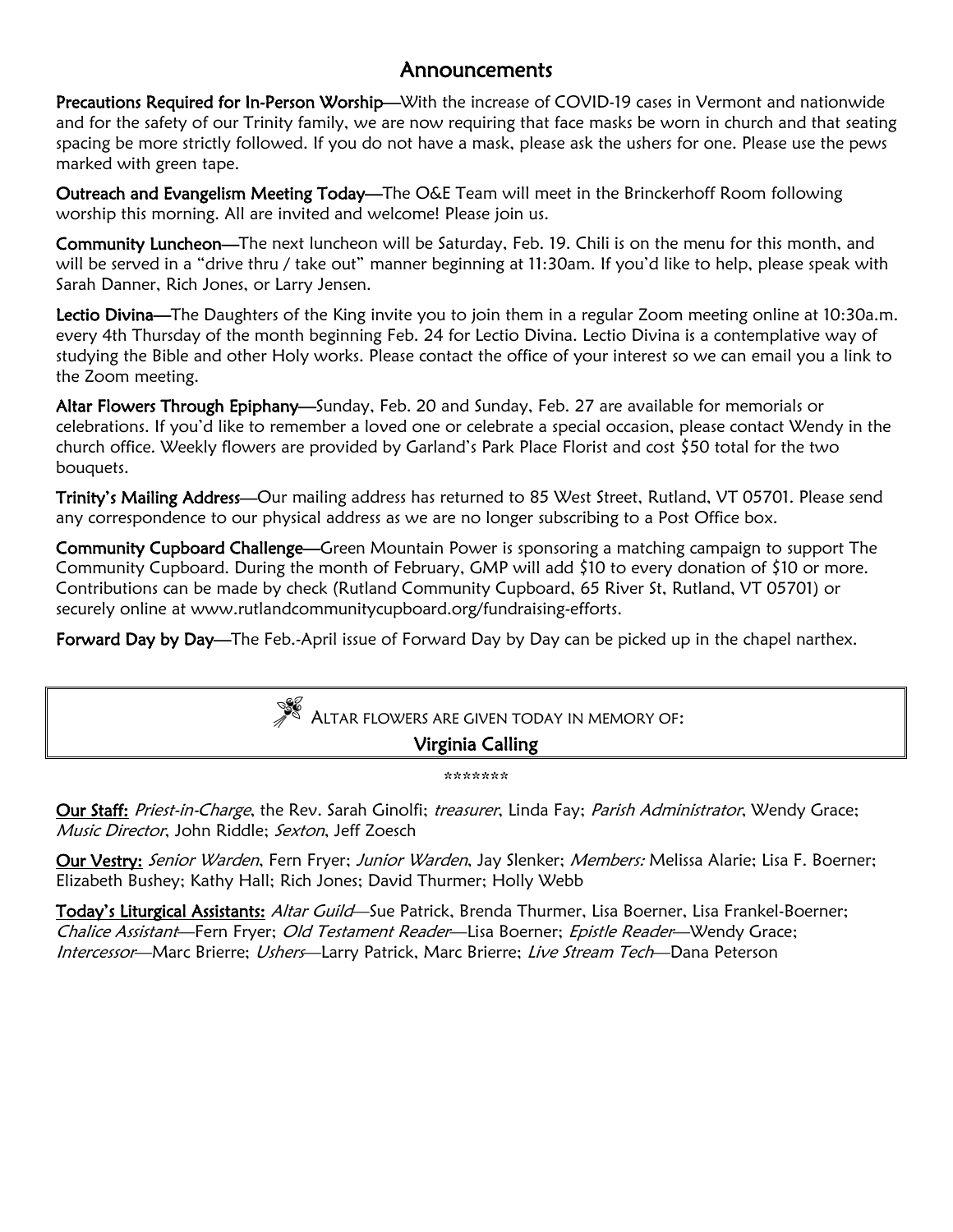## Announcements

Precautions Required for In-Person Worship—With the increase of COVID-19 cases in Vermont and nationwide and for the safety of our Trinity family, we are now requiring that face masks be worn in church and that seating spacing be more strictly followed. If you do not have a mask, please ask the ushers for one. Please use the pews marked with green tape.

Outreach and Evangelism Meeting Today—The O&E Team will meet in the Brinckerhoff Room following worship this morning. All are invited and welcome! Please join us.

Community Luncheon—The next luncheon will be Saturday, Feb. 19. Chili is on the menu for this month, and will be served in a "drive thru / take out" manner beginning at 11:30am. If you'd like to help, please speak with Sarah Danner, Rich Jones, or Larry Jensen.

Lectio Divina—The Daughters of the King invite you to join them in a regular Zoom meeting online at 10:30a.m. every 4th Thursday of the month beginning Feb. 24 for Lectio Divina. Lectio Divina is a contemplative way of studying the Bible and other Holy works. Please contact the office of your interest so we can email you a link to the Zoom meeting.

Altar Flowers Through Epiphany—Sunday, Feb. 20 and Sunday, Feb. 27 are available for memorials or celebrations. If you'd like to remember a loved one or celebrate a special occasion, please contact Wendy in the church office. Weekly flowers are provided by Garland's Park Place Florist and cost \$50 total for the two bouquets.

Trinity's Mailing Address—Our mailing address has returned to 85 West Street, Rutland, VT 05701. Please send any correspondence to our physical address as we are no longer subscribing to a Post Office box.

Community Cupboard Challenge—Green Mountain Power is sponsoring a matching campaign to support The Community Cupboard. During the month of February, GMP will add \$10 to every donation of \$10 or more. Contributions can be made by check (Rutland Community Cupboard, 65 River St, Rutland, VT 05701) or securely online at www.rutlandcommunitycupboard.org/fundraising-efforts.

Forward Day by Day—The Feb.-April issue of Forward Day by Day can be picked up in the chapel narthex.



\*\*\*\*\*\*\*

Our Staff: Priest-in-Charge, the Rev. Sarah Ginolfi; treasurer, Linda Fay; Parish Administrator, Wendy Grace; Music Director, John Riddle; Sexton, Jeff Zoesch

Our Vestry: Senior Warden, Fern Fryer; Junior Warden, Jay Slenker; Members: Melissa Alarie; Lisa F. Boerner; Elizabeth Bushey; Kathy Hall; Rich Jones; David Thurmer; Holly Webb

Today's Liturgical Assistants: Altar Guild—Sue Patrick, Brenda Thurmer, Lisa Boerner, Lisa Frankel-Boerner; Chalice Assistant—Fern Fryer; Old Testament Reader—Lisa Boerner; Epistle Reader—Wendy Grace; Intercessor—Marc Brierre; Ushers—Larry Patrick, Marc Brierre; Live Stream Tech—Dana Peterson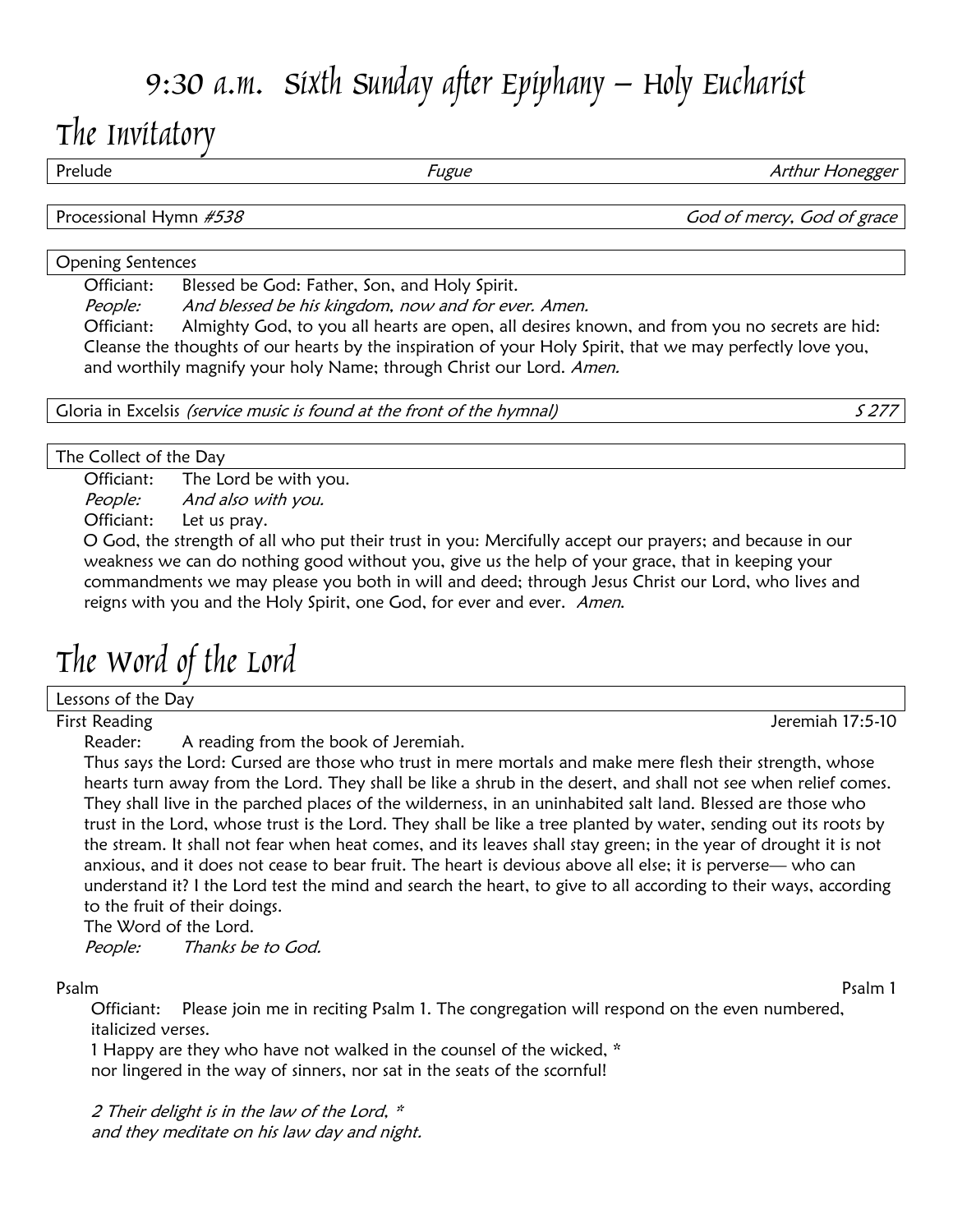# 9:30 a.m. Sixth Sunday after Epiphany – Holy Eucharist

## The Invitatory

Prelude **Fugue** Fugue **Fugue** Arthur Honegger

Processional Hymn #538 God of mercy, God of grace

### Opening Sentences

Officiant: Blessed be God: Father, Son, and Holy Spirit.

People: And blessed be his kingdom, now and for ever. Amen.

Officiant: Almighty God, to you all hearts are open, all desires known, and from you no secrets are hid: Cleanse the thoughts of our hearts by the inspiration of your Holy Spirit, that we may perfectly love you, and worthily magnify your holy Name; through Christ our Lord. Amen.

Gloria in Excelsis *(service music is found at the front of the hymnal)* S 277

### The Collect of the Day

Officiant: The Lord be with you. People: And also with you. Officiant: Let us pray.

O God, the strength of all who put their trust in you: Mercifully accept our prayers; and because in our weakness we can do nothing good without you, give us the help of your grace, that in keeping your commandments we may please you both in will and deed; through Jesus Christ our Lord, who lives and reigns with you and the Holy Spirit, one God, for ever and ever. Amen.

# The Word of the Lord

Lessons of the Day

First Reading Jeremiah 17:5-10

Reader: A reading from the book of Jeremiah.

Thus says the Lord: Cursed are those who trust in mere mortals and make mere flesh their strength, whose hearts turn away from the Lord. They shall be like a shrub in the desert, and shall not see when relief comes. They shall live in the parched places of the wilderness, in an uninhabited salt land. Blessed are those who trust in the Lord, whose trust is the Lord. They shall be like a tree planted by water, sending out its roots by the stream. It shall not fear when heat comes, and its leaves shall stay green; in the year of drought it is not anxious, and it does not cease to bear fruit. The heart is devious above all else; it is perverse— who can understand it? I the Lord test the mind and search the heart, to give to all according to their ways, according to the fruit of their doings.

The Word of the Lord.

People: Thanks be to God.

Psalm Psalm 1

Officiant: Please join me in reciting Psalm 1. The congregation will respond on the even numbered, italicized verses.

1 Happy are they who have not walked in the counsel of the wicked, \* nor lingered in the way of sinners, nor sat in the seats of the scornful!

2 Their delight is in the law of the Lord, \* and they meditate on his law day and night.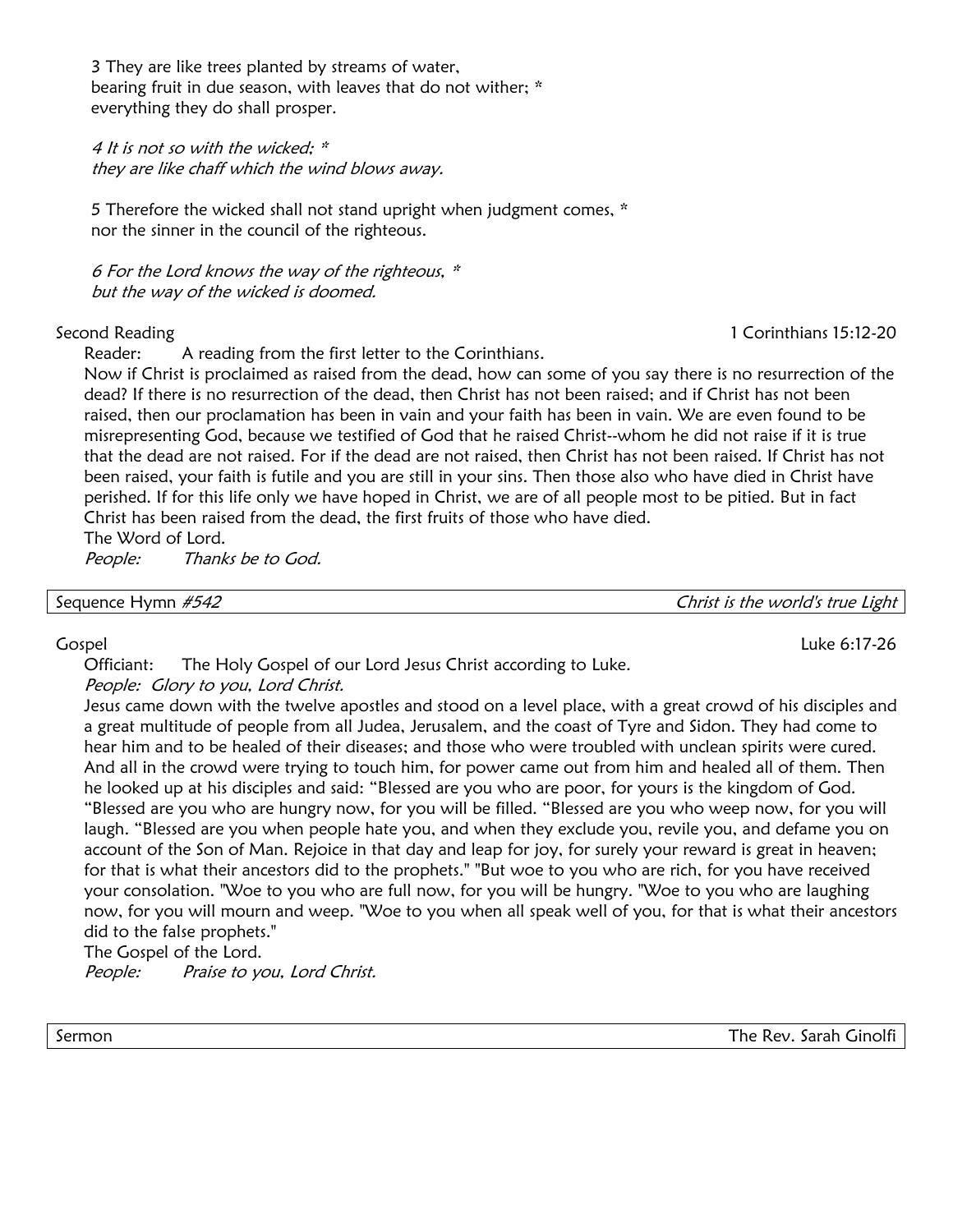3 They are like trees planted by streams of water, bearing fruit in due season, with leaves that do not wither; \* everything they do shall prosper.

4 It is not so with the wicked: \* they are like chaff which the wind blows away.

5 Therefore the wicked shall not stand upright when judgment comes, \* nor the sinner in the council of the righteous.

6 For the Lord knows the way of the righteous, \* but the way of the wicked is doomed.

Reader: A reading from the first letter to the Corinthians.

Now if Christ is proclaimed as raised from the dead, how can some of you say there is no resurrection of the dead? If there is no resurrection of the dead, then Christ has not been raised; and if Christ has not been raised, then our proclamation has been in vain and your faith has been in vain. We are even found to be misrepresenting God, because we testified of God that he raised Christ--whom he did not raise if it is true that the dead are not raised. For if the dead are not raised, then Christ has not been raised. If Christ has not been raised, your faith is futile and you are still in your sins. Then those also who have died in Christ have perished. If for this life only we have hoped in Christ, we are of all people most to be pitied. But in fact Christ has been raised from the dead, the first fruits of those who have died. The Word of Lord.

People: Thanks be to God.

Sequence Hymn  $#542$ 

### Gospel Luke 6:17-26

Officiant: The Holy Gospel of our Lord Jesus Christ according to Luke. People: Glory to you, Lord Christ.

Jesus came down with the twelve apostles and stood on a level place, with a great crowd of his disciples and a great multitude of people from all Judea, Jerusalem, and the coast of Tyre and Sidon. They had come to hear him and to be healed of their diseases; and those who were troubled with unclean spirits were cured. And all in the crowd were trying to touch him, for power came out from him and healed all of them. Then he looked up at his disciples and said: "Blessed are you who are poor, for yours is the kingdom of God. "Blessed are you who are hungry now, for you will be filled. "Blessed are you who weep now, for you will laugh. "Blessed are you when people hate you, and when they exclude you, revile you, and defame you on account of the Son of Man. Rejoice in that day and leap for joy, for surely your reward is great in heaven; for that is what their ancestors did to the prophets." "But woe to you who are rich, for you have received your consolation. "Woe to you who are full now, for you will be hungry. "Woe to you who are laughing now, for you will mourn and weep. "Woe to you when all speak well of you, for that is what their ancestors did to the false prophets."

The Gospel of the Lord.

People: Praise to you, Lord Christ.

Sermon The Rev. Sarah Ginolfi

Second Reading 15:12-20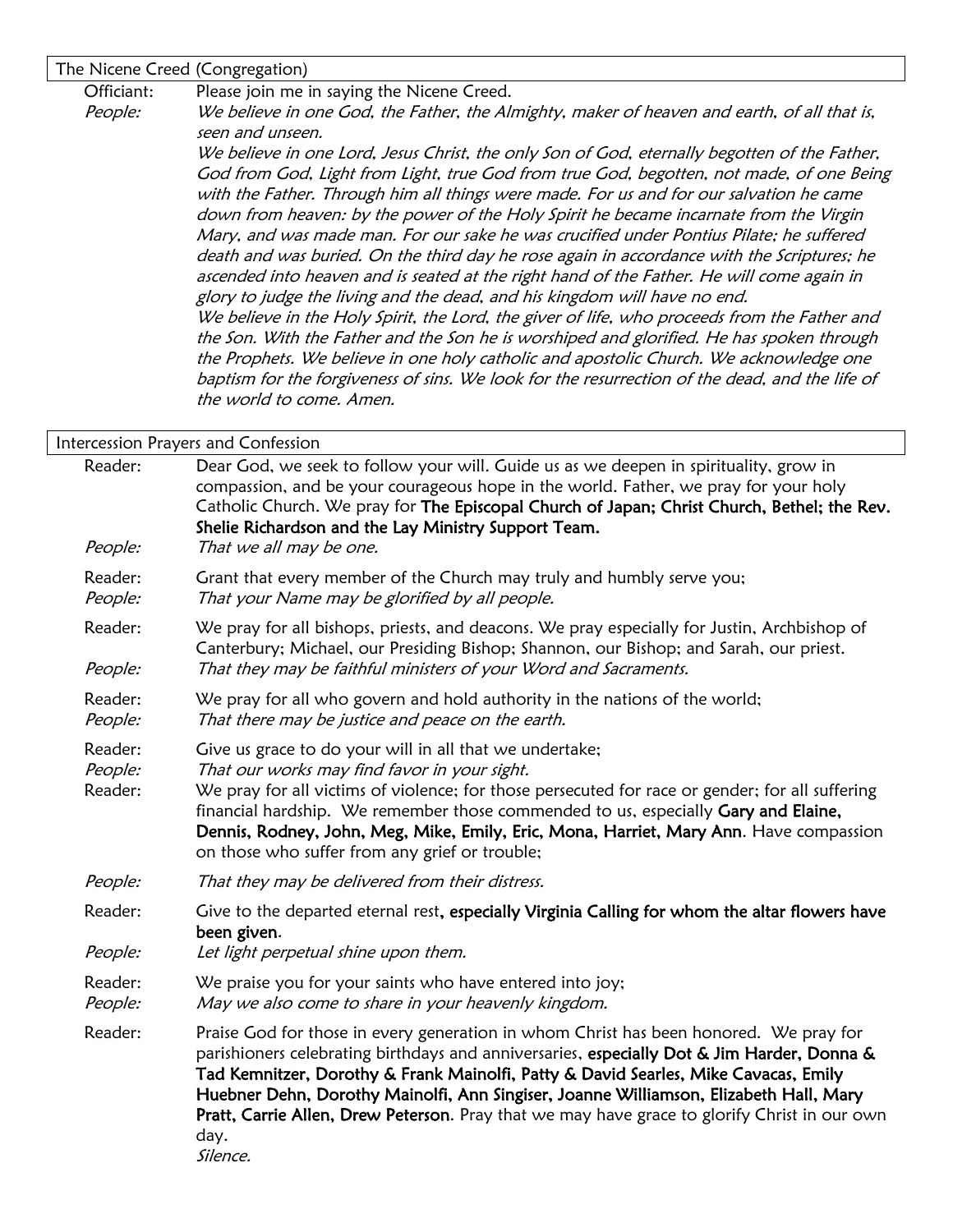The Nicene Creed (Congregation)

Officiant: Please join me in saying the Nicene Creed.

People: We believe in one God, the Father, the Almighty, maker of heaven and earth, of all that is, seen and unseen.

> We believe in one Lord, Jesus Christ, the only Son of God, eternally begotten of the Father, God from God, Light from Light, true God from true God, begotten, not made, of one Being with the Father. Through him all things were made. For us and for our salvation he came down from heaven: by the power of the Holy Spirit he became incarnate from the Virgin Mary, and was made man. For our sake he was crucified under Pontius Pilate; he suffered death and was buried. On the third day he rose again in accordance with the Scriptures; he ascended into heaven and is seated at the right hand of the Father. He will come again in glory to judge the living and the dead, and his kingdom will have no end. We believe in the Holy Spirit, the Lord, the giver of life, who proceeds from the Father and the Son. With the Father and the Son he is worshiped and glorified. He has spoken through the Prophets. We believe in one holy catholic and apostolic Church. We acknowledge one baptism for the forgiveness of sins. We look for the resurrection of the dead, and the life of the world to come. Amen.

Intercession Prayers and Confession Reader: Dear God, we seek to follow your will. Guide us as we deepen in spirituality, grow in compassion, and be your courageous hope in the world. Father, we pray for your holy Catholic Church. We pray for The Episcopal Church of Japan; Christ Church, Bethel; the Rev. Shelie Richardson and the Lay Ministry Support Team. People: That we all may be one. Reader: Grant that every member of the Church may truly and humbly serve you; People: That your Name may be glorified by all people. Reader: We pray for all bishops, priests, and deacons. We pray especially for Justin, Archbishop of Canterbury; Michael, our Presiding Bishop; Shannon, our Bishop; and Sarah, our priest. People: That they may be faithful ministers of your Word and Sacraments. Reader: We pray for all who govern and hold authority in the nations of the world; People: That there may be justice and peace on the earth. Reader: Give us grace to do your will in all that we undertake; People: That our works may find favor in your sight. Reader: We pray for all victims of violence; for those persecuted for race or gender; for all suffering financial hardship. We remember those commended to us, especially Gary and Elaine, Dennis, Rodney, John, Meg, Mike, Emily, Eric, Mona, Harriet, Mary Ann. Have compassion on those who suffer from any grief or trouble; People: That they may be delivered from their distress. Reader: Give to the departed eternal rest, especially Virginia Calling for whom the altar flowers have been given. People: Let light perpetual shine upon them. Reader: We praise you for your saints who have entered into joy; People: May we also come to share in your heavenly kingdom. Reader: Praise God for those in every generation in whom Christ has been honored. We pray for parishioners celebrating birthdays and anniversaries, especially Dot & Jim Harder, Donna & Tad Kemnitzer, Dorothy & Frank Mainolfi, Patty & David Searles, Mike Cavacas, Emily Huebner Dehn, Dorothy Mainolfi, Ann Singiser, Joanne Williamson, Elizabeth Hall, Mary Pratt, Carrie Allen, Drew Peterson. Pray that we may have grace to glorify Christ in our own day. Silence.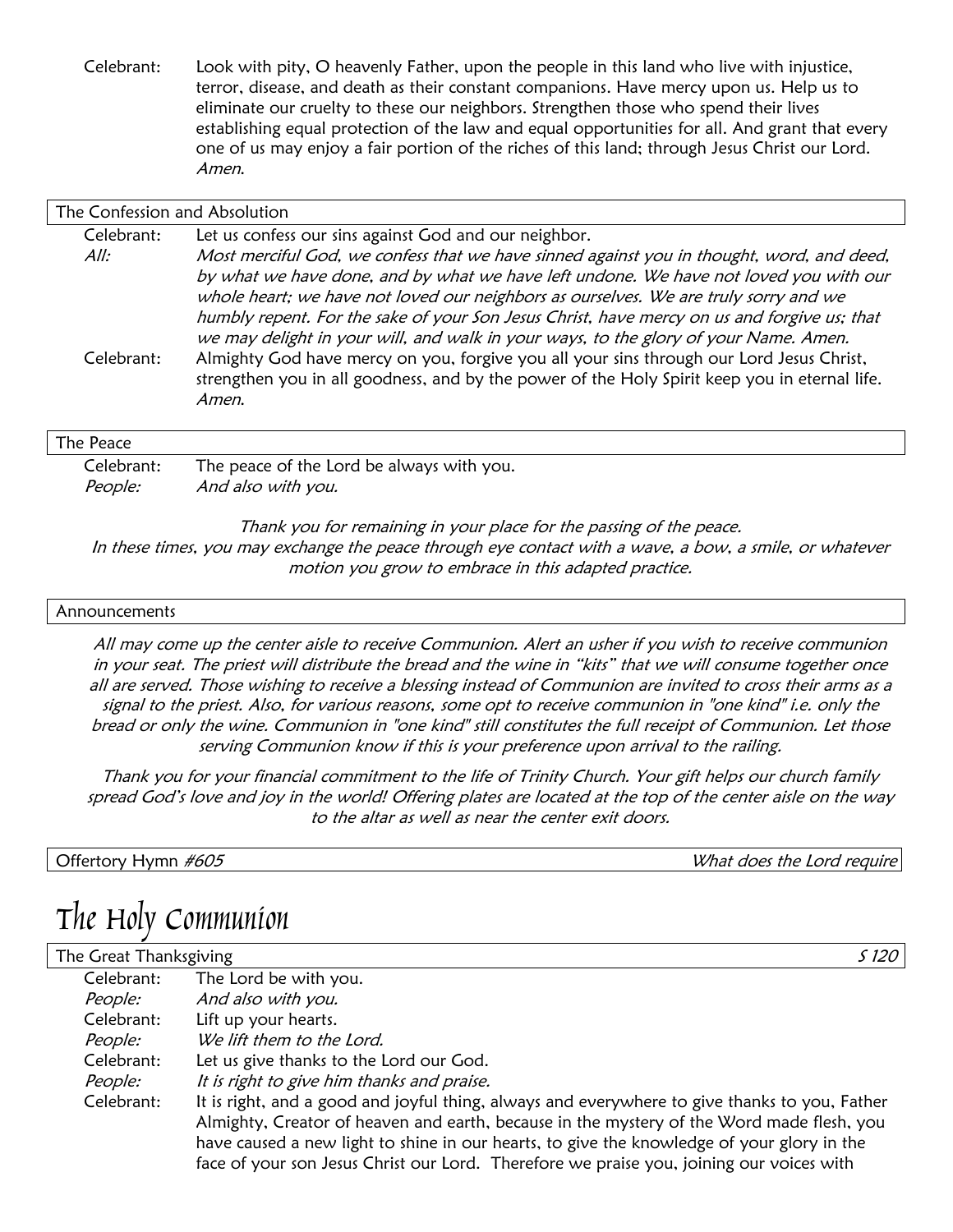Celebrant: Look with pity, O heavenly Father, upon the people in this land who live with injustice, terror, disease, and death as their constant companions. Have mercy upon us. Help us to eliminate our cruelty to these our neighbors. Strengthen those who spend their lives establishing equal protection of the law and equal opportunities for all. And grant that every one of us may enjoy a fair portion of the riches of this land; through Jesus Christ our Lord. Amen.

### The Confession and Absolution

Celebrant: Let us confess our sins against God and our neighbor.

All: Most merciful God, we confess that we have sinned against you in thought, word, and deed, by what we have done, and by what we have left undone. We have not loved you with our whole heart; we have not loved our neighbors as ourselves. We are truly sorry and we humbly repent. For the sake of your Son Jesus Christ, have mercy on us and forgive us; that we may delight in your will, and walk in your ways, to the glory of your Name. Amen. Celebrant: Almighty God have mercy on you, forgive you all your sins through our Lord Jesus Christ, strengthen you in all goodness, and by the power of the Holy Spirit keep you in eternal life. Amen.

### The Peace

Celebrant: The peace of the Lord be always with you. People: And also with you.

Thank you for remaining in your place for the passing of the peace.

In these times, you may exchange the peace through eye contact with a wave, a bow, a smile, or whatever motion you grow to embrace in this adapted practice.

### Announcements

All may come up the center aisle to receive Communion. Alert an usher if you wish to receive communion in your seat. The priest will distribute the bread and the wine in "kits" that we will consume together once all are served. Those wishing to receive a blessing instead of Communion are invited to cross their arms as a signal to the priest. Also, for various reasons, some opt to receive communion in "one kind" i.e. only the bread or only the wine. Communion in "one kind" still constitutes the full receipt of Communion. Let those serving Communion know if this is your preference upon arrival to the railing.

Thank you for your financial commitment to the life of Trinity Church. Your gift helps our church family spread God's love and joy in the world! Offering plates are located at the top of the center aisle on the way to the altar as well as near the center exit doors.

Offertory Hymn #605 What does the Lord require

# The Holy Communion

| The Great Thanksgiving |                                                                                                                                                                                                                                                                                                                                                                                      |  |
|------------------------|--------------------------------------------------------------------------------------------------------------------------------------------------------------------------------------------------------------------------------------------------------------------------------------------------------------------------------------------------------------------------------------|--|
| Celebrant:             | The Lord be with you.                                                                                                                                                                                                                                                                                                                                                                |  |
| People:                | And also with you.                                                                                                                                                                                                                                                                                                                                                                   |  |
| Celebrant:             | Lift up your hearts.                                                                                                                                                                                                                                                                                                                                                                 |  |
| People:                | We lift them to the Lord.                                                                                                                                                                                                                                                                                                                                                            |  |
| Celebrant:             | Let us give thanks to the Lord our God.                                                                                                                                                                                                                                                                                                                                              |  |
| People:                | It is right to give him thanks and praise.                                                                                                                                                                                                                                                                                                                                           |  |
| Celebrant:             | It is right, and a good and joyful thing, always and everywhere to give thanks to you, Father<br>Almighty, Creator of heaven and earth, because in the mystery of the Word made flesh, you<br>have caused a new light to shine in our hearts, to give the knowledge of your glory in the<br>face of your son Jesus Christ our Lord. Therefore we praise you, joining our voices with |  |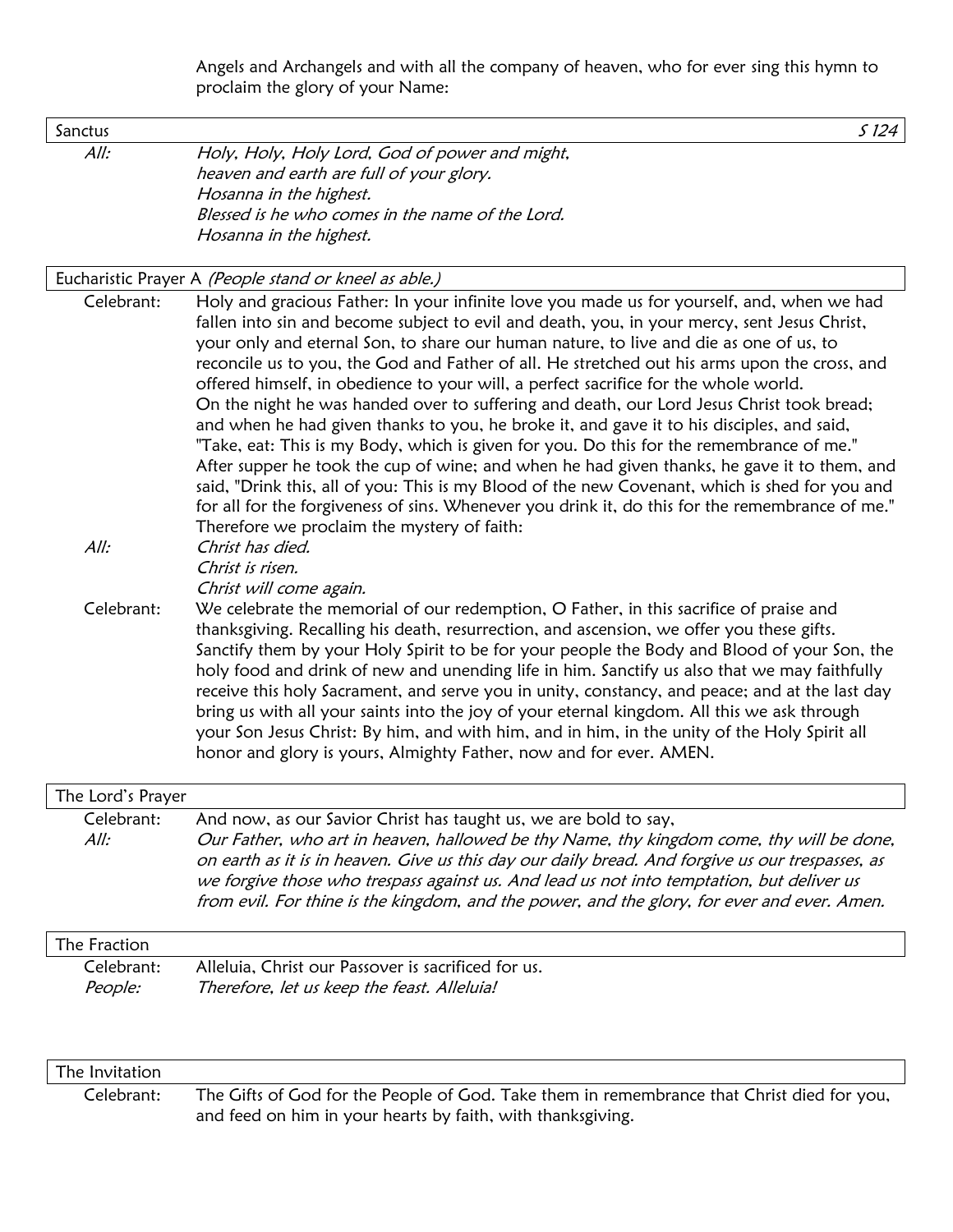Angels and Archangels and with all the company of heaven, who for ever sing this hymn to proclaim the glory of your Name:

| Sanctus           | S 124                                                                                                                                                                                         |
|-------------------|-----------------------------------------------------------------------------------------------------------------------------------------------------------------------------------------------|
| All:              | Holy, Holy, Holy Lord, God of power and might,                                                                                                                                                |
|                   | heaven and earth are full of your glory.                                                                                                                                                      |
|                   | Hosanna in the highest.                                                                                                                                                                       |
|                   | Blessed is he who comes in the name of the Lord.                                                                                                                                              |
|                   | Hosanna in the highest.                                                                                                                                                                       |
|                   | Eucharistic Prayer A (People stand or kneel as able.)                                                                                                                                         |
| Celebrant:        | Holy and gracious Father: In your infinite love you made us for yourself, and, when we had                                                                                                    |
|                   | fallen into sin and become subject to evil and death, you, in your mercy, sent Jesus Christ,                                                                                                  |
|                   | your only and eternal Son, to share our human nature, to live and die as one of us, to                                                                                                        |
|                   | reconcile us to you, the God and Father of all. He stretched out his arms upon the cross, and                                                                                                 |
|                   | offered himself, in obedience to your will, a perfect sacrifice for the whole world.                                                                                                          |
|                   | On the night he was handed over to suffering and death, our Lord Jesus Christ took bread;                                                                                                     |
|                   | and when he had given thanks to you, he broke it, and gave it to his disciples, and said,                                                                                                     |
|                   | "Take, eat: This is my Body, which is given for you. Do this for the remembrance of me."                                                                                                      |
|                   | After supper he took the cup of wine; and when he had given thanks, he gave it to them, and<br>said, "Drink this, all of you: This is my Blood of the new Covenant, which is shed for you and |
|                   | for all for the forgiveness of sins. Whenever you drink it, do this for the remembrance of me."                                                                                               |
|                   | Therefore we proclaim the mystery of faith:                                                                                                                                                   |
| All:              | Christ has died.                                                                                                                                                                              |
|                   | Christ is risen.                                                                                                                                                                              |
|                   | Christ will come again.                                                                                                                                                                       |
| Celebrant:        | We celebrate the memorial of our redemption, O Father, in this sacrifice of praise and                                                                                                        |
|                   | thanksgiving. Recalling his death, resurrection, and ascension, we offer you these gifts.                                                                                                     |
|                   | Sanctify them by your Holy Spirit to be for your people the Body and Blood of your Son, the                                                                                                   |
|                   | holy food and drink of new and unending life in him. Sanctify us also that we may faithfully                                                                                                  |
|                   | receive this holy Sacrament, and serve you in unity, constancy, and peace; and at the last day                                                                                                |
|                   | bring us with all your saints into the joy of your eternal kingdom. All this we ask through                                                                                                   |
|                   | your Son Jesus Christ: By him, and with him, and in him, in the unity of the Holy Spirit all<br>honor and glory is yours, Almighty Father, now and for ever. AMEN.                            |
|                   |                                                                                                                                                                                               |
| The Lord's Prayer |                                                                                                                                                                                               |
| Celebrant:        | And now, as our Savior Christ has taught us, we are bold to say,                                                                                                                              |
| All:              | Our Father, who art in heaven, hallowed be thy Name, thy kingdom come, thy will be done,                                                                                                      |
|                   | on earth as it is in heaven. Give us this day our daily bread. And forgive us our trespasses, as                                                                                              |
|                   | we forgive those who trespass against us. And lead us not into temptation, but deliver us                                                                                                     |
|                   | from evil. For thine is the kingdom, and the power, and the glory, for ever and ever. Amen.                                                                                                   |
| The Fraction      |                                                                                                                                                                                               |
| Celebrant:        | Alleluia, Christ our Passover is sacrificed for us.                                                                                                                                           |
| People:           | Therefore, let us keep the feast. Alleluia!                                                                                                                                                   |
|                   |                                                                                                                                                                                               |
|                   |                                                                                                                                                                                               |

## The Invitation

Celebrant: The Gifts of God for the People of God. Take them in remembrance that Christ died for you, and feed on him in your hearts by faith, with thanksgiving.